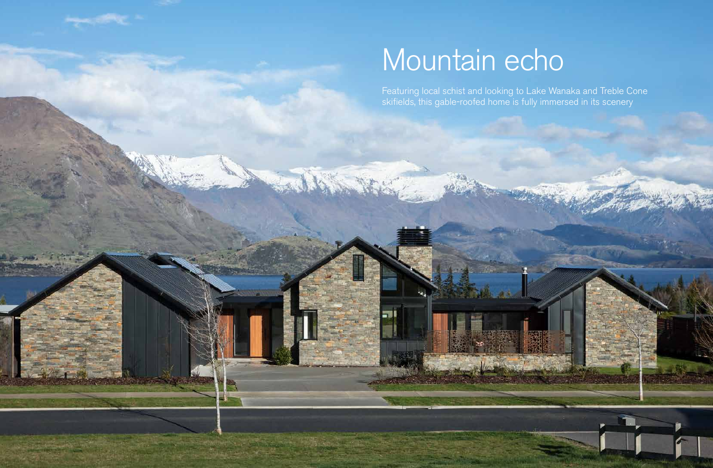## Mountain echo

Featuring local schist and looking to Lake Wanaka and Treble Cone skifields, this gable-roofed home is fully immersed in its scenery

alle Salva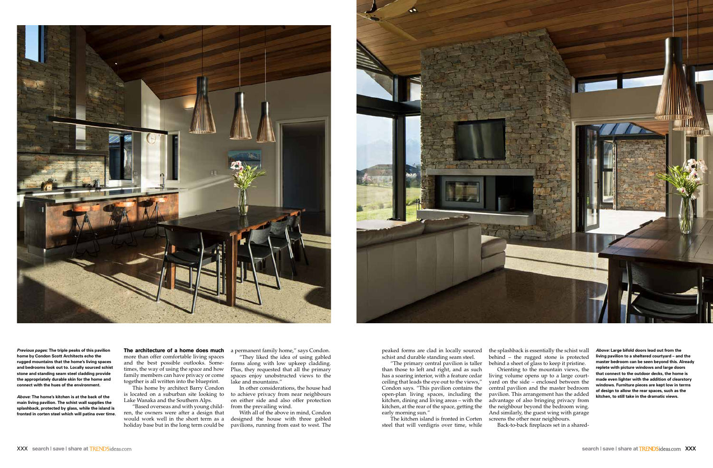**The architecture of a home does much**  a permanent family home," says Condon. more than offer comfortable living spaces and the best possible outlooks. Some-forms along with low upkeep cladding. times, the way of using the space and how Plus, they requested that all the primary family members can have privacy or come together is all written into the blueprint.

This home by architect Barry Condon is located on a suburban site looking to to achieve privacy from near neighbours Lake Wanaka and the Southern Alps.

"Based overseas and with young children, the owners were after a design that holiday base but in the long term could be

"They liked the idea of using gabled spaces enjoy unobstructed views to the lake and mountains."

would work well in the short term as a designed the house with three gabled With all of the above in mind, Condon pavilions, running from east to west. The

In other considerations, the house had on either side and also offer protection from the prevailing wind.

peaked forms are clad in locally sourced schist and durable standing seam steel.

"The primary central pavilion is taller than those to left and right, and as such has a soaring interior, with a feature cedar ceiling that leads the eye out to the views," Condon says. "This pavilion contains the open-plan living spaces, including the kitchen, dining and living areas – with the kitchen, at the rear of the space, getting the early morning sun."

The kitchen island is fronted in Corten steel that will verdigris over time, while

the splashback is essentially the schist wall behind – the rugged stone is protected behind a sheet of glass to keep it pristine.

Orienting to the mountain views, the living volume opens up to a large courtyard on the side – enclosed between the central pavilion and the master bedroom pavilion. This arrangement has the added advantage of also bringing privacy from the neighbour beyond the bedroom wing. And similarly, the guest wing with garage screens the other near neighbours.

Back-to-back fireplaces set in a shared-





*Previous pages:* **The triple peaks of this pavilion home by Condon Scott Architects echo the rugged mountains that the home's living spaces and bedrooms look out to. Locally sourced schist stone and standing seam steel cladding provide the appropriately durable skin for the home and connect with the hues of the environment.**

*Above:* **The home's kitchen is at the back of the main living pavilion. The schist wall supplies the splashback, protected by glass, while the island is fronted in corten steel which will patina over time.** *Above:* **Large bifold doors lead out from the living pavilion to a sheltered courtyard – and the master bedroom can be seen beyond this. Already replete with picture windows and large doors that connect to the outdoor decks, the home is made even lighter with the addition of clearstory windows. Furniture pieces are kept low in terms of design to allow the rear spaces, such as the kitchen, to still take in the dramatic views.**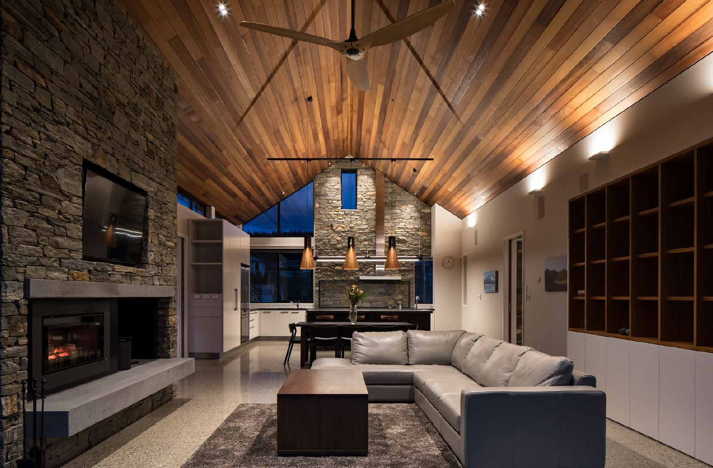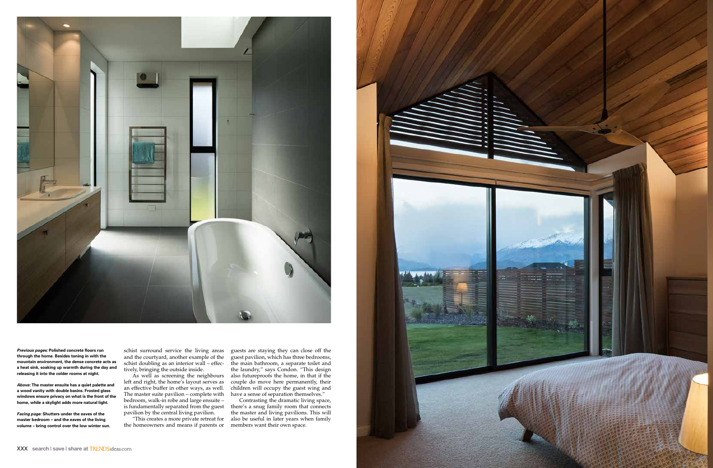schist doubling as an interior wall – effectively, bringing the outside inside.

left and right, the home's layout serves as couple do move here permanently, their an effective buffer in other ways, as well. The master suite pavilion – complete with have a sense of separation themselves." bedroom, walk-in robe and large ensuite – is fundamentally separated from the guest there's a snug family room that connects pavilion by the central living pavilion.

schist surround service the living areas guests are staying they can close off the and the courtyard, another example of the guest pavilion, which has three bedrooms, As well as screening the neighbours also futureproofs the home, in that if the the main bathroom, a separate toilet and the laundry," says Condon. "This design children will occupy the guest wing and

"This creates a more private retreat for also be useful in later years when family Contrasting the dramatic living space, the master and living pavilions. This will



the homeowners and means if parents or members want their own space.



*Previous pages:* **Polished concrete floors run through the home. Besides toning in with the mountain environment, the dense concrete acts as a heat sink, soaking up warmth during the day and releasing it into the colder rooms at night.**

*Above:* **The master ensuite has a quiet palette and a wood vanity with double basins. Frosted glass windows ensure privacy on what is the front of the home, while a skylight adds more natural light.**

*Facing page:* **Shutters under the eaves of the master bedroom – and the eaves of the living volume – bring control over the low winter sun.**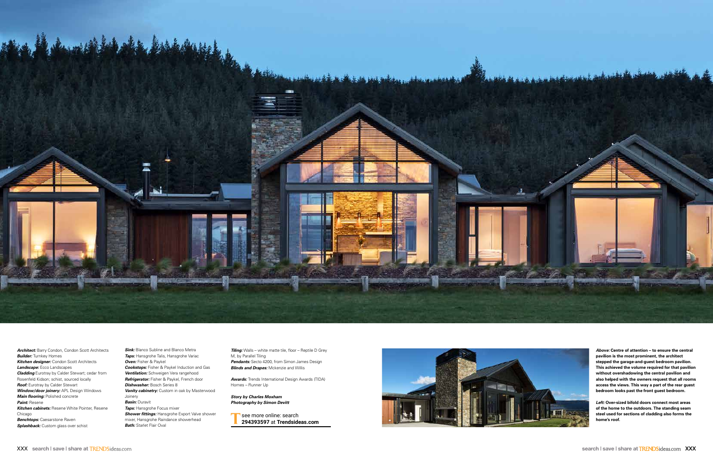*Above:* **Centre of attention – to ensure the central pavilion is the most prominent, the architect stepped the garage-and-guest bedroom pavilion. This achieved the volume required for that pavilion without overshadowing the central pavilion and also helped with the owners request that all rooms access the views. This way a part of the rear guest bedroom looks past the front guest bedroom.** 



*Architect:* Barry Condon, Condon Scott Architects *Builder:* Turnkey Homes *Kitchen designer:* Condon Scott Architects *Landscape:* Ecco Landscapes *Cladding* Eurotray by Calder Stewart; cedar from Rosenfeld Kidson; schist, sourced locally *Roof:* Eurotray by Calder Stewart *Window/door joinery:* APL Design Windows *Main flooring:* Polished concrete *Paint:* Resene *Kitchen cabinets:* Resene White Pointer, Resene Chicago **Benchtops:** Caesarstone Raven *Splashback:* Custom glass over schist

*Left:* **Over-sized bifold doors connect most areas of the home to the outdoors. The standing seam steel used for sections of cladding also forms the home's roof.** 

**Sink:** Blanco Subline and Blanco Metra **Taps:** Hansgrohe Talis, Hansgrohe Variac *Oven:* Fisher & Paykel *Cookstops:* Fisher & Paykel Induction and Gas *Ventilation:* Schweigen Vera rangehood *Refrigerator:* Fisher & Paykel, French door *Dishwasher:* Bosch Series 8 *Vanity cabinetry:* Custom in oak by Masterwood Joinery *Basin:* Duravit *Taps:* Hansgrohe Focus mixer *Shower fittings:* Hansgrohe Export Valve shower mixer, Hansgrohe Raindance showerhead *Bath:* Starlet Flair Oval

see more online: search **294393597** at **Trendsideas.com**



*Tiling:* Walls – white matte tile, floor – Reptile D Grey M, by Parallel Tiling *Pendants:* Secto 4200, from Simon James Design

*Blinds and Drapes:* Mckenzie and Willis

*Awards:* Trends International Design Awards (TIDA) Homes – Runner Up

*Story by Charles Moxham Photography by Simon Devitt*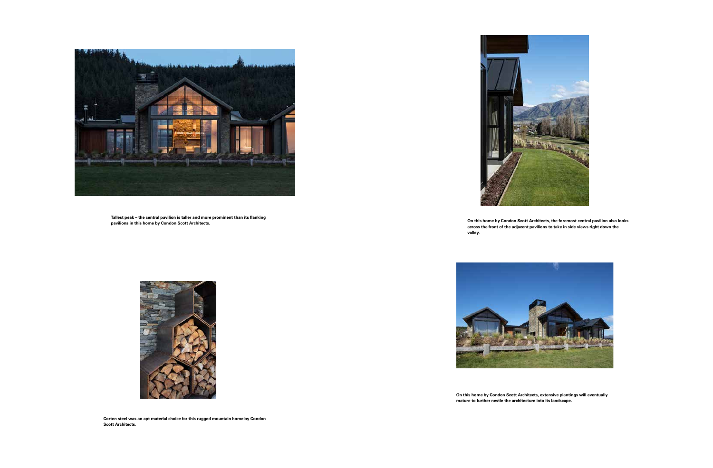

**Tallest peak – the central pavilion is taller and more prominent than its flanking pavilions in this home by Condon Scott Architects.** 



**Corten steel was an apt material choice for this rugged mountain home by Condon Scott Architects.**

**On this home by Condon Scott Architects, extensive plantings will eventually mature to further nestle the architecture into its landscape.**



**On this home by Condon Scott Architects, the foremost central pavilion also looks across the front of the adjacent pavilions to take in side views right down the** 

**valley.**